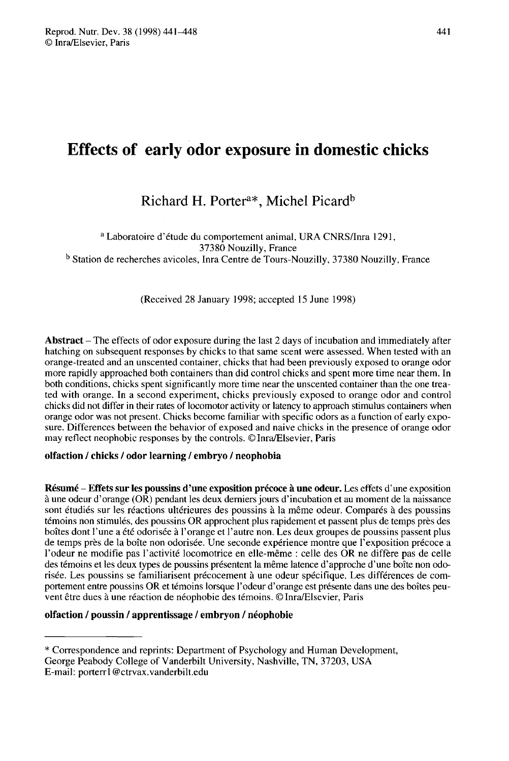# Effects of early odor exposure in domestic chicks

## Richard H. Porter<sup>a\*</sup>, Michel Picard<sup>b</sup>

<sup>a</sup> Laboratoire d'étude du comportement animal, URA CNRS/Inra 1291, <sup>b</sup> Station de recherches avicoles, Inra Centre de Tours-Nouzilly, 37380 Nouzilly, France

(Received 28 January 1998; accepted 15 June 1998)

Abstract – The effects of odor exposure during the last 2 days of incubation and immediately after hatching on subsequent responses by chicks to that same scent were assessed. When tested with an orange-treated and an unscented container, chicks that had been previously exposed to orange odor more rapidly approached both containers than did control chicks and spent more time near them. In both conditions, chicks spent significantly more time near the unscented container than the one treated with orange. In a second experiment, chicks previously exposed to orange odor and control chicks did not differ in their rates of locomotor activity or latency to approach stimulus containers when orange odor was not present. Chicks become familiar with specific odors as a function of early expo sure. Differences between the behavior of exposed and naive chicks in the presence of orange odor may reflect neophobic responses by the controls. ©Inra/Elsevier, Paris

#### olfaction / chicks / odor learning / embryo / neophobia

Résumé - Effets sur les poussins d'une exposition précoce à une odeur. Les effets d'une exposition à une odeur d'orange (OR) pendant les deux derniers jours d'incubation et au moment de la naissance sont étudiés sur les réactions ultérieures des poussins à la même odeur. Comparés à des poussins témoins non stimulés, des poussins OR approchent plus rapidement et passent plus de temps près des boîtes dont l'une a été odorisée à l'orange et l'autre non. Les deux groupes de poussins passent plus de temps près de la boîte non odorisée. Une seconde expérience montre que l'exposition précoce a l'odeur ne modifie pas l'activité locomotrice en elle-même : celle des OR ne diffère pas de celle des témoins et les deux types de poussins présentent la même latence d'approche d'une boîte non odorisée. Les poussins se familiarisent précocement à une odeur spécifique. Les différences de comportement entre poussins OR et témoins lorsque l'odeur d'orange est présente dans une des boîtes peu vent être dues à une réaction de néophobie des témoins. © Inra/Elsevier, Paris

#### olfaction / poussin / apprentissage / embryon / néophobie

<sup>\*</sup> Correspondence and reprints: Department of Psychology and Human Development,

George Peabody College of Vanderbilt University, Nashville, TN, 37203, USA

E-mail: porterrl @ctrvax.vanderbilt.edu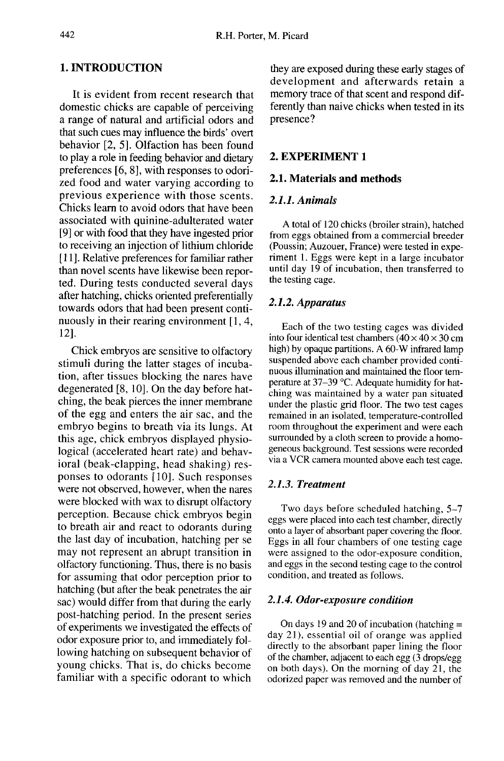## 1. INTRODUCTION

It is evident from recent research that domestic chicks are capable of perceiving a range of natural and artificial odors and that such cues may influence the birds' overt behavior [2, 5]. Olfaction has been found to play a role in feeding behavior and dietary preferences [6, 8], with responses to odorized food and water varying according to previous experience with those scents. Chicks learn to avoid odors that have been associated with quinine-adulterated water [9] or with food that they have ingested prior to receiving an injection of lithium chloride [11]. Relative preferences for familiar rather than novel scents have likewise been reported. During tests conducted several days after hatching, chicks oriented preferentially towards odors that had been present continuously in their rearing environment [1, 4, 12].

Chick embryos are sensitive to olfactory stimuli during the latter stages of incubation, after tissues blocking the nares have degenerated [8, 10]. On the day before hatching, the beak pierces the inner membrane of the egg and enters the air sac, and the embryo begins to breath via its lungs. At this age, chick embryos displayed physiological (accelerated heart rate) and behavioral (beak-clapping, head shaking) responses to odorants [10]. Such responses were not observed, however, when the nares were blocked with wax to disrupt olfactory perception. Because chick embryos begin to breath air and react to odorants during the last day of incubation, hatching per se may not represent an abrupt transition in olfactory functioning. Thus, there is no basis for assuming that odor perception prior to hatching (but after the beak penetrates the air sac) would differ from that during the early post-hatching period. In the present series of experiments we investigated the effects of odor exposure prior to, and immediately following hatching on subsequent behavior of young chicks. That is, do chicks become familiar with a specific odorant to which

they are exposed during these early stages of development and afterwards retain a memory trace of that scent and respond differently than naive chicks when tested in its presence?

## 2. EXPERIMENT 1

## 2.1. Materials and methods

## 2.1.1. Animals

A total of 120 chicks (broiler strain), hatched from eggs obtained from a commercial breeder (Poussin; Auzouer, France) were tested in experiment 1. Eggs were kept in a large incubator until day 19 of incubation, then transferred to the testing cage.

## 2.1.2. Apparatus

Each of the two testing cages was divided into four identical test chambers  $(40 \times 40 \times 30 \text{ cm})$ high) by opaque partitions. A 60-W infrared lamp suspended above each chamber provided continuous illumination and maintained the floor temperature at 37-39 °C. Adequate humidity for hatching was maintained by a water pan situated under the plastic grid floor. The two test cages<br>remained in an isolated, temperature-controlled room throughout the experiment and were each surrounded by a cloth screen to provide a homogeneous background. Test sessions were recorded via a VCR camera mounted above each test cage.

## 2.1.3. Treatment

Two days before scheduled hatching, 5-7 eggs were placed into each test chamber, directly onto a layer of absorbant paper covering the floor. Eggs in all four chambers of one testing cage were assigned to the odor-exposure condition, and eggs in the second testing cage to the control condition, and treated as follows.

#### 2.1.4. Odor-exposure condition

On days 19 and 20 of incubation (hatching  $=$ day 21), essential oil of orange was applied directly to the absorbant paper lining the floor<br>of the chamber, adjacent to each egg (3 drops/egg on both days). On the morning of day 21, the odorized paper was removed and the number of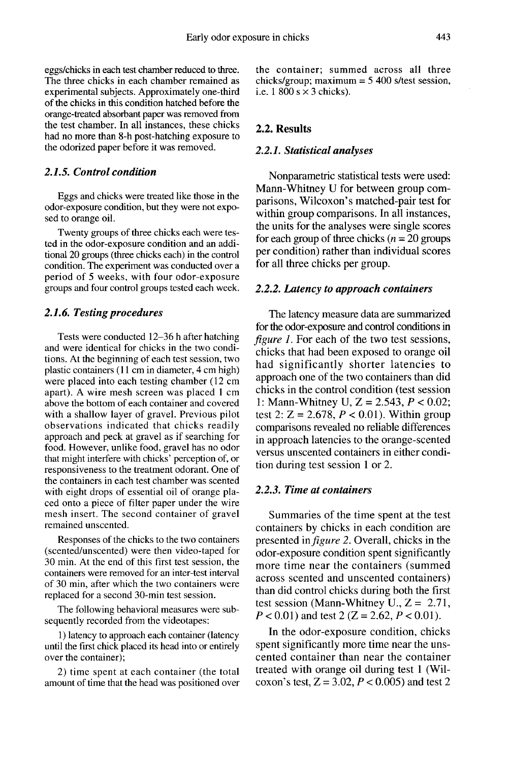eggs/chicks in each test chamber reduced to three. The three chicks in each chamber remained as experimental subjects. Approximately one-third of the chicks in this condition hatched before the orange-treated absorbant paper was removed from the test chamber. In all instances, these chicks had no more than 8-h post-hatching exposure to the odorized paper before it was removed.

#### 2.1.5. Control condition

Eggs and chicks were treated like those in the odor-exposure condition, but they were not exposed to orange oil.

Twenty groups of three chicks each were tested in the odor-exposure condition and an additional 20 groups (three chicks each) in the control condition. The experiment was conducted over a period of 5 weeks, with four odor-exposure groups and four control groups tested each week.

#### 2.1.6. Testing procedures

Tests were conducted 12-36 h after hatching and were identical for chicks in the two conditions. At the beginning of each test session, two plastic containers (11 cm in diameter, 4 cm high) were placed into each testing chamber (12 cm apart). A wire mesh screen was placed 1 cm above the bottom of each container and covered with a shallow layer of gravel. Previous pilot observations indicated that chicks readily approach and peck at gravel as if searching for food. However, unlike food, gravel has no odor that might interfere with chicks' perception of, or responsiveness to the treatment odorant. One of the containers in each test chamber was scented with eight drops of essential oil of orange placed onto a piece of filter paper under the wire mesh insert. The second container of gravel remained unscented.

Responses of the chicks to the two containers (scented/unscented) were then video-taped for 30 min. At the end of this first test session, the containers were removed for an inter-test interval of 30 min, after which the two containers were replaced for a second 30-min test session.

The following behavioral measures were subsequently recorded from the videotapes:

1) latency to approach each container (latency until the first chick placed its head into or entirely over the container);

2) time spent at each container (the total amount of time that the head was positioned over the container; summed across all three chicks/group; maximum = 5 400 s/test session, i.e. 1 800 s  $\times$  3 chicks).

## 2.2. Results

#### 2.2.1. Statistical analyses

Nonparametric statistical tests were used: Mann-Whitney U for between group comparisons, Wilcoxon's matched-pair test for within group comparisons. In all instances, the units for the analyses were single scores for each group of three chicks ( $n = 20$  groups per condition) rather than individual scores for all three chicks per group.

#### 2.2.2. Latency to approach containers

The latency measure data are summarized for the odor-exposure and control conditions in figure 1. For each of the two test sessions, chicks that had been exposed to orange oil had significantly shorter latencies to approach one of the two containers than did chicks in the control condition (test session<br>1: Mann-Whitney U,  $Z = 2.543$ ,  $P < 0.02$ ; test 2:  $Z = 2.678$ ,  $P < 0.01$ ). Within group comparisons revealed no reliable differences in approach latencies to the orange-scented versus unscented containers in either condition during test session 1 or 2.

#### 2.2.3. Time at containers

Summaries of the time spent at the test containers by chicks in each condition are presented in figure 2. Overall, chicks in the odor-exposure condition spent significantly more time near the containers (summed across scented and unscented containers) than did control chicks during both the first test session (Mann-Whitney U.,  $Z = 2.71$ ,  $P < 0.01$ ) and test 2 (Z = 2.62,  $P < 0.01$ ).

In the odor-exposure condition, chicks spent significantly more time near the unscented container than near the container treated with orange oil during test 1 (Wilcoxon's test,  $Z = 3.02$ ,  $P < 0.005$ ) and test 2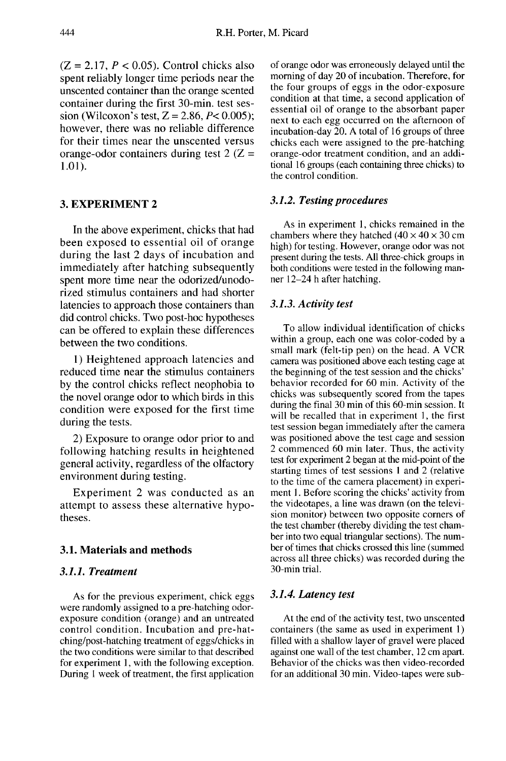$(Z = 2.17, P < 0.05)$ . Control chicks also spent reliably longer time periods near the unscented container than the orange scented container during the first 30-min. test session (Wilcoxon's test,  $Z = 2.86$ ,  $P < 0.005$ ); however, there was no reliable difference for their times near the unscented versus orange-odor containers during test  $2 (Z =$ 1.01).

#### 3. EXPERIMENT 2

In the above experiment, chicks that had been exposed to essential oil of orange during the last 2 days of incubation and immediately after hatching subsequently spent more time near the odorized/unodorized stimulus containers and had shorter latencies to approach those containers than did control chicks. Two post-hoc hypotheses can be offered to explain these differences between the two conditions.

1) Heightened approach latencies and reduced time near the stimulus containers by the control chicks reflect neophobia to the novel orange odor to which birds in this condition were exposed for the first time during the tests.

2) Exposure to orange odor prior to and following hatching results in heightened general activity, regardless of the olfactory environment during testing.

Experiment 2 was conducted as an attempt to assess these alternative hypotheses.

## 3.1. Materials and methods

#### 3.1.1. Treatment

As for the previous experiment, chick eggs were randomly assigned to a pre-hatching odorexposure condition (orange) and an untreated control condition. Incubation and pre-hatching/post-hatching treatment of eggs/chicks in the two conditions were similar to that described for experiment 1, with the following exception. During I week of treatment, the first application of orange odor was erroneously delayed until the morning of day 20 of incubation. Therefore, for the four groups of eggs in the odor-exposure condition at that time, a second application of essential oil of orange to the absorbant paper next to each egg occurred on the afternoon of incubation-day 20. A total of 16 groups of three chicks each were assigned to the pre-hatching orange-odor treatment condition, and an additional 16 groups (each containing three chicks) to the control condition.

#### 3.1.2. Testing procedures

As in experiment 1, chicks remained in the chambers where they hatched  $(40 \times 40 \times 30 \text{ cm})$ high) for testing. However, orange odor was not present during the tests. All three-chick groups in both conditions were tested in the following manner 12-24 h after hatching.

## 3.1.3. Activity test

To allow individual identification of chicks within a group, each one was color-coded by a small mark (felt-tip pen) on the head. A VCR camera was positioned above each testing cage at the beginning of the test session and the chicks' behavior recorded for 60 min. Activity of the chicks was subsequently scored from the tapes during the final 30 min of this 60-min session. It will be recalled that in experiment 1, the first test session began immediately after the camera was positioned above the test cage and session 2 commenced 60 min later. Thus, the activity test for experiment 2 began at the mid-point of the starting times of test sessions 1 and 2 (relative to the time of the camera placement) in experi ment 1. Before scoring the chicks' activity from the videotapes, a line was drawn (on the television monitor) between two opposite corners of the test chamber (thereby dividing the test chamber into two equal triangular sections). The number of times that chicks crossed this line (summed across all three chicks) was recorded during the 30-min trial.

## 3.1.4. Latency test

At the end of the activity test, two unscented containers (the same as used in experiment 1) filled with a shallow layer of gravel were placed against one wall of the test chamber, 12 cm apart. Behavior of the chicks was then video-recorded for an additional 30 min. Video-tapes were sub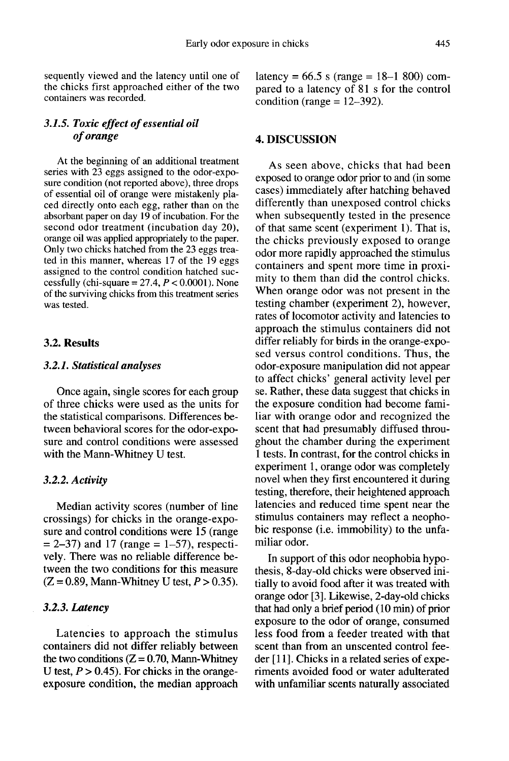sequently viewed and the latency until one of the chicks first approached either of the two containers was recorded.

## 3.1.5. Toxic effect of essential oil of orange

At the beginning of an additional treatment series with 23 eggs assigned to the odor-expo sure condition (not reported above), three drops of essential oil of orange were mistakenly placed directly onto each egg, rather than on the absorbant paper on day 19 of incubation. For the second odor treatment (incubation day 20), orange oil was applied appropriately to the paper. Only two chicks hatched from the 23 eggs treated in this manner, whereas 17 of the 19 eggs assigned to the control condition hatched successfully (chi-square  $= 27.4$ ,  $P < 0.0001$ ). None of the surviving chicks from this treatment series was tested.

## 3.2. Results

#### 3.2.1. Statistical analyses

Once again, single scores for each group of three chicks were used as the units for the statistical comparisons. Differences between behavioral scores for the odor-expo sure and control conditions were assessed with the Mann-Whitney U test.

#### 3.2.2. Activity

Median activity scores (number of line crossings) for chicks in the orange-expo $s = 2-37$  and 17 (range  $= 1-57$ ), respectively. There was no reliable difference between the two conditions for this measure  $(Z = 0.89$ , Mann-Whitney U test,  $P > 0.35$ ).

## 3.2.3. Latency

Latencies to approach the stimulus containers did not differ reliably between the two conditions  $(Z = 0.70, \text{Mann-Whitney})$ U test,  $P > 0.45$ ). For chicks in the orangeexposure condition, the median approach latency =  $66.5$  s (range =  $18-1$  800) compared to a latency of 81 s for the control condition (range  $= 12 - 392$ ).

## 4. DISCUSSION

As seen above, chicks that had been exposed to orange odor prior to and (in some cases) immediately after hatching behaved differently than unexposed control chicks when subsequently tested in the presence of that same scent (experiment 1). That is, the chicks previously exposed to orange odor more rapidly approached the stimulus containers and spent more time in proximity to them than did the control chicks. When orange odor was not present in the testing chamber (experiment 2), however, rates of locomotor activity and latencies to approach the stimulus containers did not differ reliably for birds in the orange-exposed versus control conditions. Thus, the odor-exposure manipulation did not appear to affect chicks' general activity level per se. Rather, these data suggest that chicks in the exposure condition had become familiar with orange odor and recognized the scent that had presumably diffused throughout the chamber during the experiment 1 tests. In contrast, for the control chicks in experiment 1, orange odor was completely novel when they first encountered it during testing, therefore, their heightened approach latencies and reduced time spent near the stimulus containers may reflect a neophobic response (i.e. immobility) to the unfamiliar odor.

In support of this odor neophobia hypothesis, 8-day-old chicks were observed initially to avoid food after it was treated with orange odor [3]. Likewise, 2-day-old chicks that had only a brief period (10 min) of prior exposure to the odor of orange, consumed less food from a feeder treated with that scent than from an unscented control feeder [11]. Chicks in a related series of experiments avoided food or water adulterated with unfamiliar scents naturally associated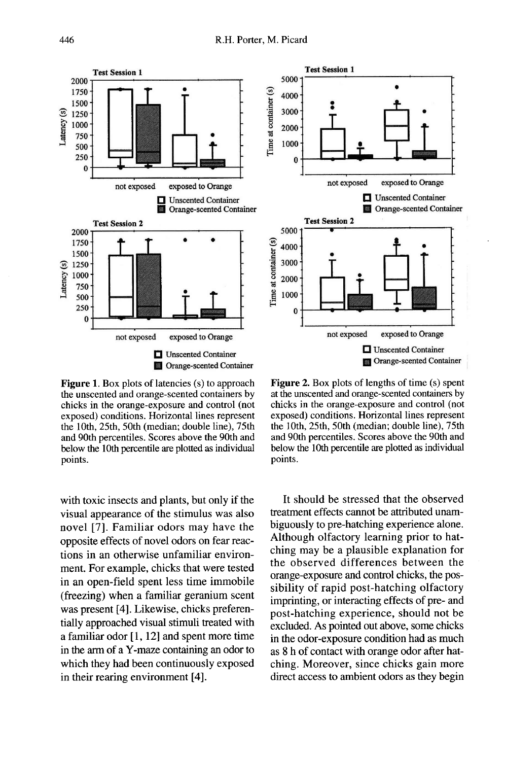

**Figure 1.** Box plots of latencies (s) to approach the unscented and orange-scented containers by chicks in the orange-exposure and control (not exposed) conditions. Horizontal lines represent the 10th, 25th, 50th (median; double line), 75th and 90th percentiles. Scores above the 90th and below the 10th percentile are plotted as individual points.

with toxic insects and plants, but only if the visual appearance of the stimulus was also novel [7]. Familiar odors may have the opposite effects of novel odors on fear reactions in an otherwise unfamiliar environment. For example, chicks that were tested in an open-field spent less time immobile (freezing) when a familiar geranium scent was present [4]. Likewise, chicks preferentially approached visual stimuli treated with a familiar odor [1, 12] and spent more time in the arm of a Y-maze containing an odor to which they had been continuously exposed in their rearing environment [4].



**Figure 2.** Box plots of lengths of time (s) spent at the unscented and orange-scented containers by chicks in the orange-exposure and control (not exposed) conditions. Horizontal lines represent the 10th, 25th, 50th (median; double line), 75th and 90th percentiles. Scores above the 90th and below the 10th percentile are plotted as individual points.

It should be stressed that the observed treatment effects cannot be attributed unambiguously to pre-hatching experience alone. Although olfactory learning prior to hatching may be a plausible explanation for the observed differences between the orange-exposure and control chicks, the possibility of rapid post-hatching olfactory imprinting, or interacting effects of pre- and post-hatching experience, should not be excluded. As pointed out above, some chicks in the odor-exposure condition had as much as 8 h of contact with orange odor after hatching. Moreover, since chicks gain more direct access to ambient odors as they begin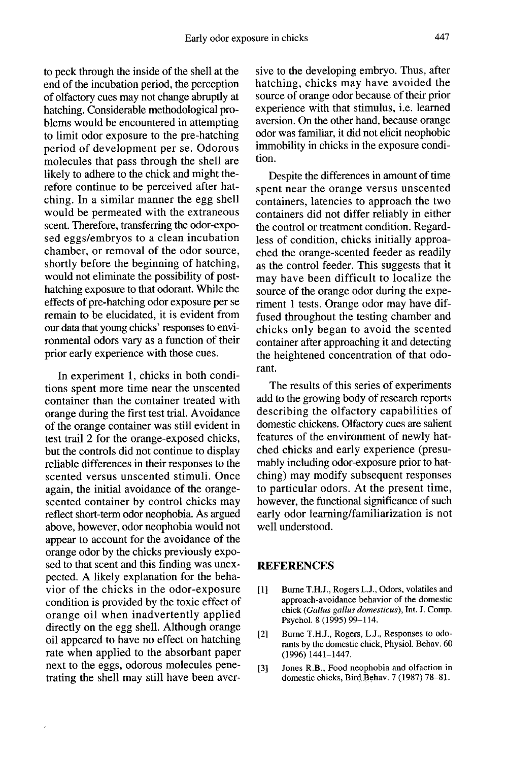to peck through the inside of the shell at the end of the incubation period, the perception of olfactory cues may not change abruptly at hatching. Considerable methodological problems would be encountered in attempting to limit odor exposure to the pre-hatching period of development per se. Odorous molecules that pass through the shell are likely to adhere to the chick and might therefore continue to be perceived after hatching. In a similar manner the egg shell would be permeated with the extraneous scent. Therefore, transferring the odor-exposed eggs/embryos to a clean incubation chamber, or removal of the odor source, shortly before the beginning of hatching, would not eliminate the possibility of posthatching exposure to that odorant. While the effects of pre-hatching odor exposure per se remain to be elucidated, it is evident from our data that young chicks' responses to environmental odors vary as a function of their prior early experience with those cues.

In experiment 1, chicks in both conditions spent more time near the unscented container than the container treated with orange during the first test trial. Avoidance of the orange container was still evident in test trail 2 for the orange-exposed chicks, but the controls did not continue to display reliable differences in their responses to the scented versus unscented stimuli. Once again, the initial avoidance of the orangescented container by control chicks may reflect short-term odor neophobia. As argued above, however, odor neophobia would not appear to account for the avoidance of the orange odor by the chicks previously exposed to that scent and this finding was unexpected. A likely explanation for the behavior of the chicks in the odor-exposure condition is provided by the toxic effect of orange oil when inadvertently applied directly on the egg shell. Although orange oil appeared to have no effect on hatching rate when applied to the absorbant paper next to the eggs, odorous molecules penetrating the shell may still have been aversive to the developing embryo. Thus, after hatching, chicks may have avoided the source of orange odor because of their prior experience with that stimulus, i.e. learned aversion. On the other hand, because orange odor was familiar, it did not elicit neophobic immobility in chicks in the exposure condition.

Despite the differences in amount of time spent near the orange versus unscented containers, latencies to approach the two containers did not differ reliably in either the control or treatment condition. Regardless of condition, chicks initially approached the orange-scented feeder as readily as the control feeder. This suggests that it may have been difficult to localize the source of the orange odor during the experiment 1 tests. Orange odor may have diffused throughout the testing chamber and chicks only began to avoid the scented container after approaching it and detecting the heightened concentration of that odorant.

The results of this series of experiments add to the growing body of research reports describing the olfactory capabilities of domestic chickens. Olfactory cues are salient features of the environment of newly hatched chicks and early experience (presumably including odor-exposure prior to hatching) may modify subsequent responses to particular odors. At the present time, however, the functional significance of such early odor learning/familiarization is not well understood.

#### REFERENCES

- [1] Burne T.H.J., Rogers L.J., Odors, volatiles and approach-avoidance behavior of the domestic chick (Gallus gallus domesticus), Int. J. Comp. Psychol. 8 (1995) 99-114.
- [2] Bume T.H.J., Rogers, L.J., Responses to odorants by the domestic chick, Physiol. Behav. 60 (1996)1441-1447.
- [3] Jones R.B., Food neophobia and olfaction in domestic chicks, Bird Behav. 7 (1987) 78-81.